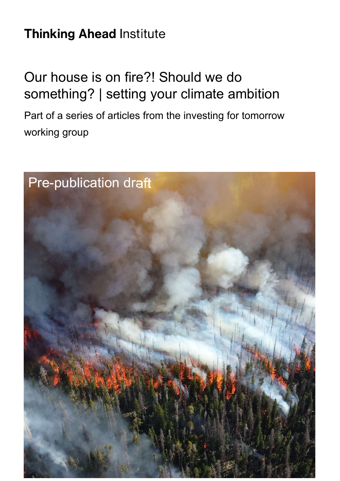# **Thinking Ahead Institute**

# Our house is on fire?! Should we do something? | setting your climate ambition

Part of a series of articles from the investing for tomorrow working group

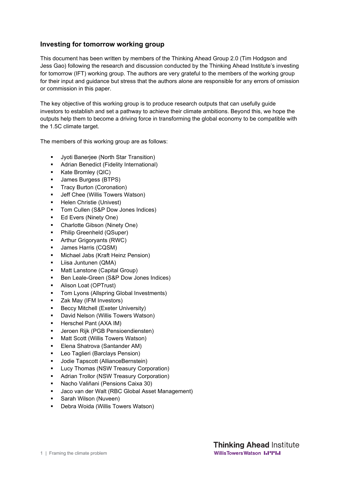### **Investing for tomorrow working group**

This document has been written by members of the Thinking Ahead Group 2.0 (Tim Hodgson and Jess Gao) following the research and discussion conducted by the Thinking Ahead Institute's investing for tomorrow (IFT) working group. The authors are very grateful to the members of the working group for their input and guidance but stress that the authors alone are responsible for any errors of omission or commission in this paper.

The key objective of this working group is to produce research outputs that can usefully guide investors to establish and set a pathway to achieve their climate ambitions. Beyond this, we hope the outputs help them to become a driving force in transforming the global economy to be compatible with the 1.5C climate target.

The members of this working group are as follows:

- Jyoti Banerjee (North Star Transition)
- **Adrian Benedict (Fidelity International)**
- Kate Bromley (QIC)
- James Burgess (BTPS)
- **Tracy Burton (Coronation)**
- Jeff Chee (Willis Towers Watson)
- Helen Christie (Univest)
- **Tom Cullen (S&P Dow Jones Indices)**
- Ed Evers (Ninety One)
- Charlotte Gibson (Ninety One)
- Philip Greenheld (QSuper)
- Arthur Grigoryants (RWC)
- **James Harris (CQSM)**
- **Michael Jabs (Kraft Heinz Pension)**
- Liisa Juntunen (QMA)
- Matt Lanstone (Capital Group)
- **Ben Leale-Green (S&P Dow Jones Indices)**
- Alison Loat (OPTrust)
- **Tom Lyons (Allspring Global Investments)**
- **EXEC** Zak May (IFM Investors)
- Beccy Mitchell (Exeter University)
- **David Nelson (Willis Towers Watson)**
- **Herschel Pant (AXA IM)**
- **Jeroen Rijk (PGB Pensioendiensten)**
- Matt Scott (Willis Towers Watson)
- Elena Shatrova (Santander AM)
- **Leo Taglieri (Barclays Pension)**
- Jodie Tapscott (AllianceBernstein)
- Lucy Thomas (NSW Treasury Corporation)
- **Adrian Trollor (NSW Treasury Corporation)**
- Nacho Valiñani (Pensions Caixa 30)
- Jaco van der Walt (RBC Global Asset Management)
- **Sarah Wilson (Nuveen)**
- **Debra Woida (Willis Towers Watson)**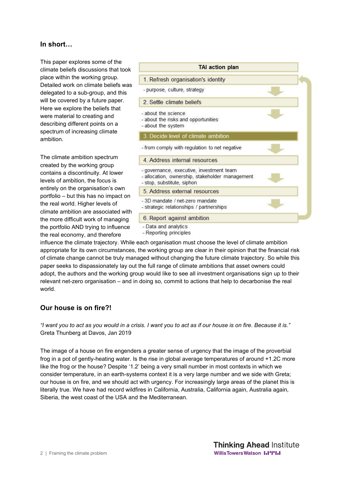#### **In short…**

This paper explores some of the climate beliefs discussions that took place within the working group. Detailed work on climate beliefs was delegated to a sub-group, and this will be covered by a future paper. Here we explore the beliefs that were material to creating and describing different points on a spectrum of increasing climate ambition.

The climate ambition spectrum created by the working group contains a discontinuity. At lower levels of ambition, the focus is entirely on the organisation's own portfolio – but this has no impact on the real world. Higher levels of climate ambition are associated with the more difficult work of managing the portfolio AND trying to influence the real economy, and therefore



influence the climate trajectory. While each organisation must choose the level of climate ambition appropriate for its own circumstances, the working group are clear in their opinion that the financial risk of climate change cannot be truly managed without changing the future climate trajectory. So while this paper seeks to dispassionately lay out the full range of climate ambitions that asset owners could adopt, the authors and the working group would like to see all investment organisations sign up to their relevant net-zero organisation – and in doing so, commit to actions that help to decarbonise the real world.

# **Our house is on fire?!**

*"I want you to act as you would in a crisis. I want you to act as if our house is on fire. Because it is."* Greta Thunberg at Davos, Jan 2019

The image of a house on fire engenders a greater sense of urgency that the image of the proverbial frog in a pot of gently-heating water. Is the rise in global average temperatures of around +1.2C more like the frog or the house? Despite '1.2' being a very small number in most contexts in which we consider temperature, in an earth-systems context it is a very large number and we side with Greta; our house is on fire, and we should act with urgency. For increasingly large areas of the planet this is literally true. We have had record wildfires in California, Australia, California again, Australia again, Siberia, the west coast of the USA and the Mediterranean.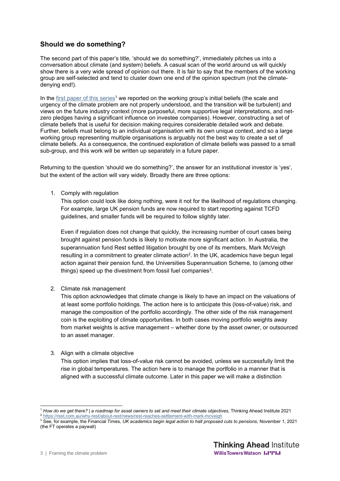## **Should we do something?**

The second part of this paper's title, 'should we do something?', immediately pitches us into a conversation about climate (and system) beliefs. A casual scan of the world around us will quickly show there is a very wide spread of opinion out there. It is fair to say that the members of the working group are self-selected and tend to cluster down one end of the opinion spectrum (not the climatedenying end!).

In the first paper of this series<sup>1</sup> we reported on the working group's initial beliefs (the scale and urgency of the climate problem are not properly understood, and the transition will be turbulent) and views on the future industry context (more purposeful, more supportive legal interpretations, and netzero pledges having a significant influence on investee companies). However, constructing a set of climate beliefs that is useful for decision making requires considerable detailed work and debate. Further, beliefs must belong to an individual organisation with its own unique context, and so a large working group representing multiple organisations is arguably not the best way to create a set of climate beliefs. As a consequence, the continued exploration of climate beliefs was passed to a small sub-group, and this work will be written up separately in a future paper.

Returning to the question 'should we do something?', the answer for an institutional investor is 'yes', but the extent of the action will vary widely. Broadly there are three options:

1. Comply with regulation

This option could look like doing nothing, were it not for the likelihood of regulations changing. For example, large UK pension funds are now required to start reporting against TCFD guidelines, and smaller funds will be required to follow slightly later.

Even if regulation does not change that quickly, the increasing number of court cases being brought against pension funds is likely to motivate more significant action. In Australia, the superannuation fund Rest settled litigation brought by one of its members, Mark McVeigh resulting in a commitment to greater climate action2. In the UK, academics have begun legal action against their pension fund, the Universities Superannuation Scheme, to (among other things) speed up the divestment from fossil fuel companies<sup>3</sup>.

2. Climate risk management

This option acknowledges that climate change is likely to have an impact on the valuations of at least some portfolio holdings. The action here is to anticipate this (loss-of-value) risk, and manage the composition of the portfolio accordingly. The other side of the risk management coin is the exploiting of climate opportunities. In both cases moving portfolio weights away from market weights is active management – whether done by the asset owner, or outsourced to an asset manager.

3. Align with a climate objective

This option implies that loss-of-value risk cannot be avoided, unless we successfully limit the rise in global temperatures. The action here is to manage the portfolio in a manner that is aligned with a successful climate outcome. Later in this paper we will make a distinction

<sup>1</sup> *How do we get there? | a roadmap for asset owners to set and meet their climate objectives*, Thinking Ahead Institute 2021 <sup>2</sup> https://rest.com.au/why-rest/about-rest/news/rest-reaches-settlement-with-mark-mcveigh

<sup>3</sup> See, for example, the Financial Times, *UK academics begin legal action to halt proposed cuts to pensions*, November 1, 2021 (the FT operates a paywall)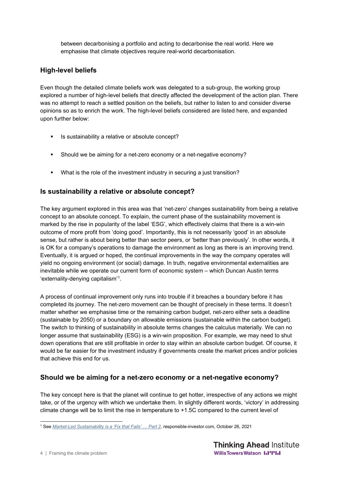between decarbonising a portfolio and acting to decarbonise the real world. Here we emphasise that climate objectives require real-world decarbonisation.

## **High-level beliefs**

Even though the detailed climate beliefs work was delegated to a sub-group, the working group explored a number of high-level beliefs that directly affected the development of the action plan. There was no attempt to reach a settled position on the beliefs, but rather to listen to and consider diverse opinions so as to enrich the work. The high-level beliefs considered are listed here, and expanded upon further below:

- Is sustainability a relative or absolute concept?
- Should we be aiming for a net-zero economy or a net-negative economy?
- What is the role of the investment industry in securing a just transition?

### **Is sustainability a relative or absolute concept?**

The key argument explored in this area was that 'net-zero' changes sustainability from being a relative concept to an absolute concept. To explain, the current phase of the sustainability movement is marked by the rise in popularity of the label 'ESG', which effectively claims that there is a win-win outcome of more profit from 'doing good'. Importantly, this is not necessarily 'good' in an absolute sense, but rather is about being better than sector peers, or 'better than previously'. In other words, it is OK for a company's operations to damage the environment as long as there is an improving trend. Eventually, it is argued or hoped, the continual improvements in the way the company operates will yield no ongoing environment (or social) damage. In truth, negative environmental externalities are inevitable while we operate our current form of economic system – which Duncan Austin terms 'externality-denying capitalism' 1.

A process of continual improvement only runs into trouble if it breaches a boundary before it has completed its journey. The net-zero movement can be thought of precisely in these terms. It doesn't matter whether we emphasise time or the remaining carbon budget, net-zero either sets a deadline (sustainable by 2050) or a boundary on allowable emissions (sustainable within the carbon budget). The switch to thinking of sustainability in absolute terms changes the calculus materially. We can no longer assume that sustainability (ESG) is a win-win proposition. For example, we may need to shut down operations that are still profitable in order to stay within an absolute carbon budget. Of course, it would be far easier for the investment industry if governments create the market prices and/or policies that achieve this end for us.

# **Should we be aiming for a net-zero economy or a net-negative economy?**

The key concept here is that the planet will continue to get hotter, irrespective of any actions we might take, or of the urgency with which we undertake them. In slightly different words, 'victory' in addressing climate change will be to limit the rise in temperature to +1.5C compared to the current level of

<sup>1</sup> See *Market-Led Sustainability is a 'Fix that Fails' … Part 2*, responsible-investor.com, October 26, 2021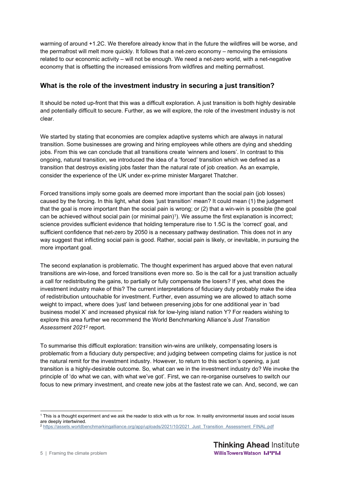warming of around +1.2C. We therefore already know that in the future the wildfires will be worse, and the permafrost will melt more quickly. It follows that a net-zero economy – removing the emissions related to our economic activity – will not be enough. We need a net-zero world, with a net-negative economy that is offsetting the increased emissions from wildfires and melting permafrost.

### **What is the role of the investment industry in securing a just transition?**

It should be noted up-front that this was a difficult exploration. A just transition is both highly desirable and potentially difficult to secure. Further, as we will explore, the role of the investment industry is not clear.

We started by stating that economies are complex adaptive systems which are always in natural transition. Some businesses are growing and hiring employees while others are dying and shedding jobs. From this we can conclude that all transitions create 'winners and losers'. In contrast to this ongoing, natural transition, we introduced the idea of a 'forced' transition which we defined as a transition that destroys existing jobs faster than the natural rate of job creation. As an example, consider the experience of the UK under ex-prime minister Margaret Thatcher.

Forced transitions imply some goals are deemed more important than the social pain (job losses) caused by the forcing. In this light, what does 'just transition' mean? It could mean (1) the judgement that the goal is more important than the social pain is wrong; or (2) that a win-win is possible (the goal can be achieved without social pain (or minimal pain)<sup>1</sup>). We assume the first explanation is incorrect; science provides sufficient evidence that holding temperature rise to 1.5C is the 'correct' goal, and sufficient confidence that net-zero by 2050 is a necessary pathway destination. This does not in any way suggest that inflicting social pain is good. Rather, social pain is likely, or inevitable, in pursuing the more important goal.

The second explanation is problematic. The thought experiment has argued above that even natural transitions are win-lose, and forced transitions even more so. So is the call for a just transition actually a call for redistributing the gains, to partially or fully compensate the losers? If yes, what does the investment industry make of this? The current interpretations of fiduciary duty probably make the idea of redistribution untouchable for investment. Further, even assuming we are allowed to attach some weight to impact, where does 'just' land between preserving jobs for one additional year in 'bad business model X' and increased physical risk for low-lying island nation Y? For readers wishing to explore this area further we recommend the World Benchmarking Alliance's *Just Transition Assessment 20212* report.

To summarise this difficult exploration: transition win-wins are unlikely, compensating losers is problematic from a fiduciary duty perspective; and judging between competing claims for justice is not the natural remit for the investment industry. However, to return to this section's opening, a just transition is a highly-desirable outcome. So, what can we in the investment industry do? We invoke the principle of 'do what we can, with what we've got'. First, we can re-organise ourselves to switch our focus to new primary investment, and create new jobs at the fastest rate we can. And, second, we can

<sup>1</sup> This is a thought experiment and we ask the reader to stick with us for now. In reality environmental issues and social issues are deeply intertwined.

<sup>&</sup>lt;sup>2</sup> https://assets.worldbenchmarkingalliance.org/app/uploads/2021/10/2021\_Just\_Transition\_Assessment\_FINAL.pdf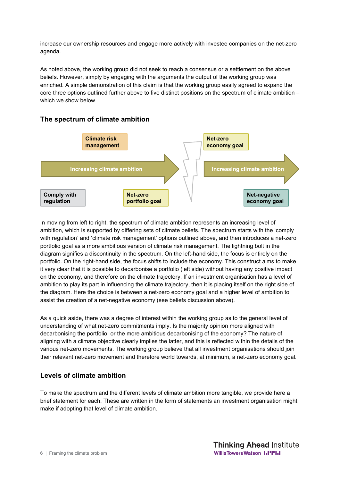increase our ownership resources and engage more actively with investee companies on the net-zero agenda.

As noted above, the working group did not seek to reach a consensus or a settlement on the above beliefs. However, simply by engaging with the arguments the output of the working group was enriched. A simple demonstration of this claim is that the working group easily agreed to expand the core three options outlined further above to five distinct positions on the spectrum of climate ambition – which we show below.

#### **The spectrum of climate ambition**



In moving from left to right, the spectrum of climate ambition represents an increasing level of ambition, which is supported by differing sets of climate beliefs. The spectrum starts with the 'comply with regulation' and 'climate risk management' options outlined above, and then introduces a net-zero portfolio goal as a more ambitious version of climate risk management. The lightning bolt in the diagram signifies a discontinuity in the spectrum. On the left-hand side, the focus is entirely on the portfolio. On the right-hand side, the focus shifts to include the economy. This construct aims to make it very clear that it is possible to decarbonise a portfolio (left side) without having any positive impact on the economy, and therefore on the climate trajectory. If an investment organisation has a level of ambition to play its part in influencing the climate trajectory, then it is placing itself on the right side of the diagram. Here the choice is between a net-zero economy goal and a higher level of ambition to assist the creation of a net-negative economy (see beliefs discussion above).

As a quick aside, there was a degree of interest within the working group as to the general level of understanding of what net-zero commitments imply. Is the majority opinion more aligned with decarbonising the portfolio, or the more ambitious decarbonising of the economy? The nature of aligning with a climate objective clearly implies the latter, and this is reflected within the details of the various net-zero movements. The working group believe that all investment organisations should join their relevant net-zero movement and therefore world towards, at minimum, a net-zero economy goal.

# **Levels of climate ambition**

To make the spectrum and the different levels of climate ambition more tangible, we provide here a brief statement for each. These are written in the form of statements an investment organisation might make if adopting that level of climate ambition.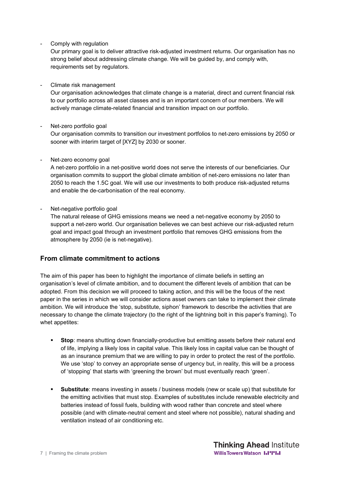Comply with regulation

Our primary goal is to deliver attractive risk-adjusted investment returns. Our organisation has no strong belief about addressing climate change. We will be guided by, and comply with, requirements set by regulators.

- Climate risk management

Our organisation acknowledges that climate change is a material, direct and current financial risk to our portfolio across all asset classes and is an important concern of our members. We will actively manage climate-related financial and transition impact on our portfolio.

Net-zero portfolio goal

Our organisation commits to transition our investment portfolios to net-zero emissions by 2050 or sooner with interim target of [XYZ] by 2030 or sooner.

#### Net-zero economy goal

A net-zero portfolio in a net-positive world does not serve the interests of our beneficiaries. Our organisation commits to support the global climate ambition of net-zero emissions no later than 2050 to reach the 1.5C goal. We will use our investments to both produce risk-adjusted returns and enable the de-carbonisation of the real economy.

Net-negative portfolio goal

The natural release of GHG emissions means we need a net-negative economy by 2050 to support a net-zero world. Our organisation believes we can best achieve our risk-adjusted return goal and impact goal through an investment portfolio that removes GHG emissions from the atmosphere by 2050 (ie is net-negative).

#### **From climate commitment to actions**

The aim of this paper has been to highlight the importance of climate beliefs in setting an organisation's level of climate ambition, and to document the different levels of ambition that can be adopted. From this decision we will proceed to taking action, and this will be the focus of the next paper in the series in which we will consider actions asset owners can take to implement their climate ambition. We will introduce the 'stop, substitute, siphon' framework to describe the activities that are necessary to change the climate trajectory (to the right of the lightning bolt in this paper's framing). To whet appetites:

- **Stop**: means shutting down financially-productive but emitting assets before their natural end of life, implying a likely loss in capital value. This likely loss in capital value can be thought of as an insurance premium that we are willing to pay in order to protect the rest of the portfolio. We use 'stop' to convey an appropriate sense of urgency but, in reality, this will be a process of 'stopping' that starts with 'greening the brown' but must eventually reach 'green'.
- **Substitute**: means investing in assets / business models (new or scale up) that substitute for the emitting activities that must stop. Examples of substitutes include renewable electricity and batteries instead of fossil fuels, building with wood rather than concrete and steel where possible (and with climate-neutral cement and steel where not possible), natural shading and ventilation instead of air conditioning etc.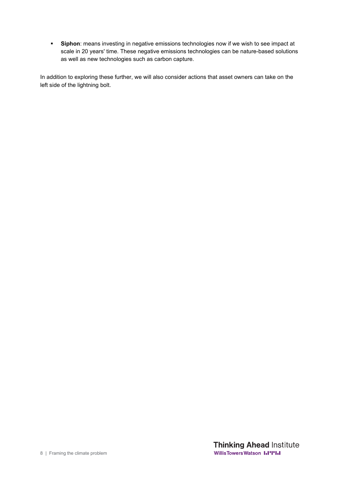**Siphon**: means investing in negative emissions technologies now if we wish to see impact at scale in 20 years' time. These negative emissions technologies can be nature-based solutions as well as new technologies such as carbon capture.

In addition to exploring these further, we will also consider actions that asset owners can take on the left side of the lightning bolt.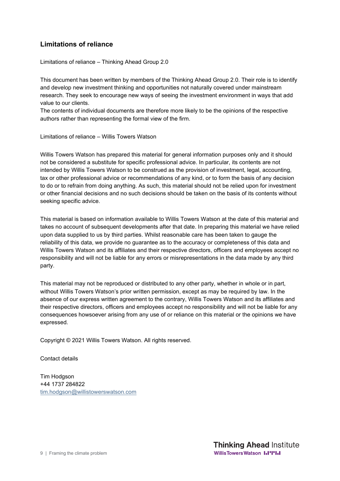# **Limitations of reliance**

Limitations of reliance – Thinking Ahead Group 2.0

This document has been written by members of the Thinking Ahead Group 2.0. Their role is to identify and develop new investment thinking and opportunities not naturally covered under mainstream research. They seek to encourage new ways of seeing the investment environment in ways that add value to our clients.

The contents of individual documents are therefore more likely to be the opinions of the respective authors rather than representing the formal view of the firm.

Limitations of reliance – Willis Towers Watson

Willis Towers Watson has prepared this material for general information purposes only and it should not be considered a substitute for specific professional advice. In particular, its contents are not intended by Willis Towers Watson to be construed as the provision of investment, legal, accounting, tax or other professional advice or recommendations of any kind, or to form the basis of any decision to do or to refrain from doing anything. As such, this material should not be relied upon for investment or other financial decisions and no such decisions should be taken on the basis of its contents without seeking specific advice.

This material is based on information available to Willis Towers Watson at the date of this material and takes no account of subsequent developments after that date. In preparing this material we have relied upon data supplied to us by third parties. Whilst reasonable care has been taken to gauge the reliability of this data, we provide no guarantee as to the accuracy or completeness of this data and Willis Towers Watson and its affiliates and their respective directors, officers and employees accept no responsibility and will not be liable for any errors or misrepresentations in the data made by any third party.

This material may not be reproduced or distributed to any other party, whether in whole or in part, without Willis Towers Watson's prior written permission, except as may be required by law. In the absence of our express written agreement to the contrary, Willis Towers Watson and its affiliates and their respective directors, officers and employees accept no responsibility and will not be liable for any consequences howsoever arising from any use of or reliance on this material or the opinions we have expressed.

Copyright © 2021 Willis Towers Watson. All rights reserved.

Contact details

Tim Hodgson +44 1737 284822 tim.hodgson@willistowerswatson.com